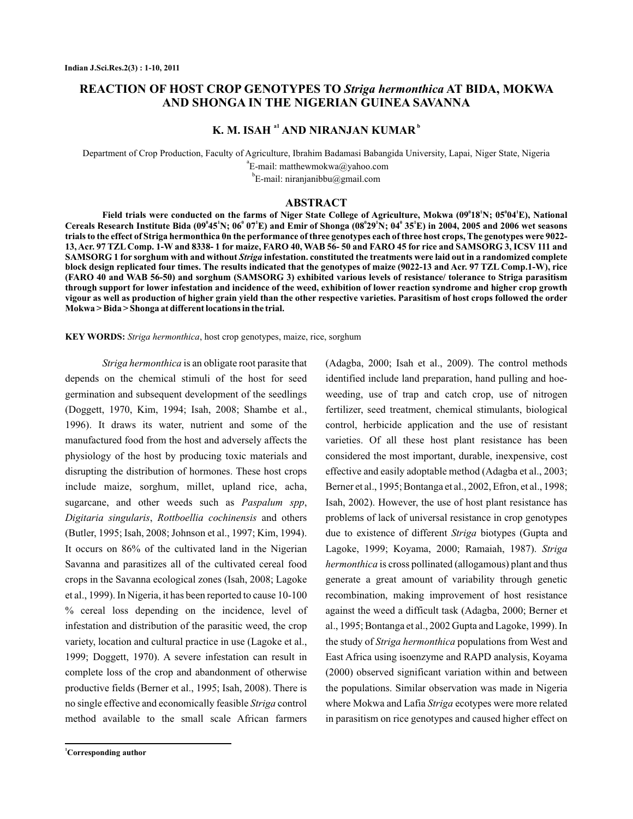## **REACTION OF HOST CROP GENOTYPES TO Striga hermonthica AT BIDA, MOKWA AND SHONGA IN THE NIGERIAN GUINEA SAVANNA**

# **K. M. ISAH <sup>a1</sup> AND NIRANJAN KUMAR**<sup>**b</sup></sup>**

Department of Crop Production, Faculty of Agriculture, Ibrahim Badamasi Babangida University, Lapai, Niger State, Nigeria  $\mathrm{^{a}E}\text{-mail:}$  matthewmokwa@yahoo.com

 $^{b}$ E-mail: niranjanibbu@gmail.com

### **ABSTRACT**

Field trials were conducted on the farms of Niger State College of Agriculture, Mokwa (09<sup>0</sup>18<sup>'</sup>N; 05<sup>0</sup>04<sup>'</sup>E), National Cereals Research Institute Bida (09<sup>°</sup>45'N; 06° 07'E) and Emir of Shonga (08°29'N; 04° 35'E) in 2004, 2005 and 2006 wet seasons **trials to the effect of Striga hermonthica 0n the performance of three genotypes each of three host crops, The genotypes were 9022- 13, Acr. 97 TZL Comp. 1-W and 8338- 1 for maize, FARO 40, WAB 56- 50 and FARO 45 for rice and SAMSORG 3, ICSV 111 and**  $\mathbf S\mathbf A\mathbf M\mathbf S\mathbf O\mathbf R\mathbf G$  I for sorghum with and without *Striga* infestation. constituted the treatments were laid out in a randomized complete **block design replicated four times. The results indicated that the genotypes of maize (9022-13 and Acr. 97 TZL Comp.1-W), rice (FARO 40 and WAB 56-50) and sorghum (SAMSORG 3) exhibited various levels of resistance/ tolerance to Striga parasitism through support for lower infestation and incidence of the weed, exhibition of lower reaction syndrome and higher crop growth vigour as well as production of higher grain yield than the other respective varieties. Parasitism of host crops followed the order Mokwa > Bida > Shonga at different locations in the trial.**

KEY WORDS: Striga hermonthica, host crop genotypes, maize, rice, sorghum

*Striga hermonthica* is an obligate root parasite that sugarcane, and other weeds such as Paspalum spp, Digitaria singularis, Rottboellia cochinensis and others no single effective and economically feasible Striga control depends on the chemical stimuli of the host for seed germination and subsequent development of the seedlings (Doggett, 1970, Kim, 1994; Isah, 2008; Shambe et al., 1996). It draws its water, nutrient and some of the manufactured food from the host and adversely affects the physiology of the host by producing toxic materials and disrupting the distribution of hormones. These host crops include maize, sorghum, millet, upland rice, acha, (Butler, 1995; Isah, 2008; Johnson et al., 1997; Kim, 1994). It occurs on 86% of the cultivated land in the Nigerian Savanna and parasitizes all of the cultivated cereal food crops in the Savanna ecological zones (Isah, 2008; Lagoke et al., 1999). In Nigeria, it has been reported to cause 10-100 % cereal loss depending on the incidence, level of infestation and distribution of the parasitic weed, the crop variety, location and cultural practice in use (Lagoke et al., 1999; Doggett, 1970). A severe infestation can result in complete loss of the crop and abandonment of otherwise productive fields (Berner et al., 1995; Isah, 2008). There is method available to the small scale African farmers

weeding, use of trap and catch crop, use of nitrogen fertilizer, seed treatment, chemical stimulants, biological control, herbicide application and the use of resistant varieties. Of all these host plant resistance has been considered the most important, durable, inexpensive, cost effective and easily adoptable method (Adagba et al., 2003; Berner et al., 1995; Bontanga et al., 2002, Efron, et al., 1998; Isah, 2002). However, the use of host plant resistance has problems of lack of universal resistance in crop genotypes due to existence of different Striga biotypes (Gupta and Lagoke, 1999; Koyama, 2000; Ramaiah, 1987). *Striga hermonthica* is cross pollinated (allogamous) plant and thus generate a great amount of variability through genetic recombination, making improvement of host resistance against the weed a difficult task (Adagba, 2000; Berner et al., 1995; Bontanga et al., 2002 Gupta and Lagoke, 1999). In the study of Striga hermonthica populations from West and East Africa using isoenzyme and RAPD analysis, Koyama (2000) observed significant variation within and between the populations. Similar observation was made in Nigeria where Mokwa and Lafia Striga ecotypes were more related in parasitism on rice genotypes and caused higher effect on

(Adagba, 2000; Isah et al., 2009). The control methods identified include land preparation, hand pulling and hoe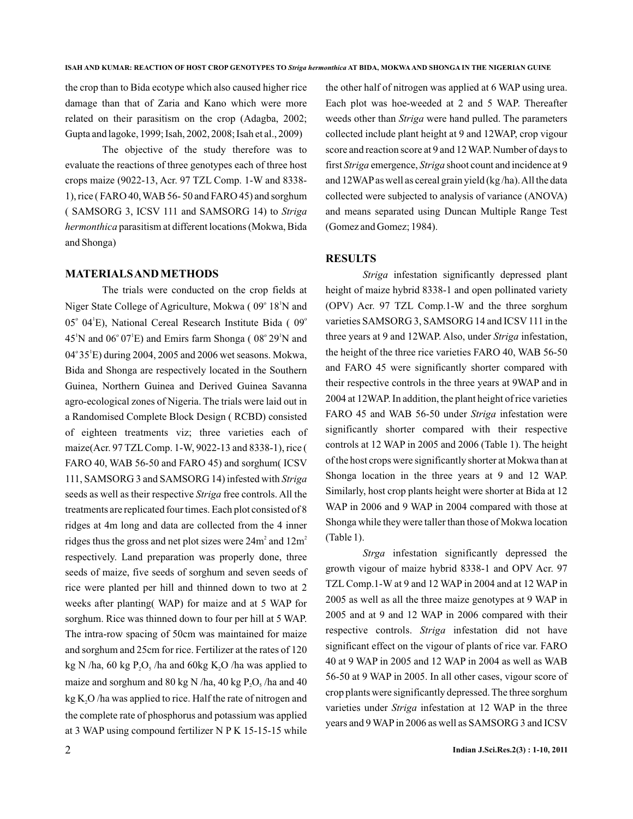the crop than to Bida ecotype which also caused higher rice damage than that of Zaria and Kano which were more related on their parasitism on the crop (Adagba, 2002; Gupta and lagoke, 1999; Isah, 2002, 2008; Isah et al., 2009)

The objective of the study therefore was to evaluate the reactions of three genotypes each of three host crops maize (9022-13, Acr. 97 TZL Comp. 1-W and 8338- 1), rice ( FARO 40,WAB 56- 50 and FARO 45) and sorghum ( SAMSORG 3, ICSV 111 and SAMSORG 14) to *Striga* hermonthica parasitism at different locations (Mokwa, Bida and Shonga)

### **MATERIALSAND METHODS**

The trials were conducted on the crop fields at Niger State College of Agriculture, Mokwa (09° 18<sup>'</sup>N and  $05^{\circ}$  04<sup>1</sup>E), National Cereal Research Institute Bida ( $09^{\circ}$  $45^{\circ}$ N and  $06^{\circ}$   $07^{\circ}$ E) and Emirs farm Shonga (  $08^{\circ}$   $29^{\circ}$ N and 04° 35<sup>1</sup>E) during 2004, 2005 and 2006 wet seasons. Mokwa, Bida and Shonga are respectively located in the Southern Guinea, Northern Guinea and Derived Guinea Savanna agro-ecological zones of Nigeria. The trials were laid out in a Randomised Complete Block Design ( RCBD) consisted of eighteen treatments viz; three varieties each of maize(Acr. 97 TZL Comp. 1-W, 9022-13 and 8338-1), rice ( FARO 40, WAB 56-50 and FARO 45) and sorghum( ICSV 111, SAMSORG 3 and SAMSORG 14) infested with *Striga* seeds as well as their respective Striga free controls. All the treatments are replicated four times. Each plot consisted of 8 ridges at 4m long and data are collected from the 4 inner ridges thus the gross and net plot sizes were  $24m^2$  and  $12m^2$ respectively. Land preparation was properly done, three seeds of maize, five seeds of sorghum and seven seeds of rice were planted per hill and thinned down to two at 2 weeks after planting( WAP) for maize and at 5 WAP for sorghum. Rice was thinned down to four per hill at 5 WAP. The intra-row spacing of 50cm was maintained for maize and sorghum and 25cm for rice. Fertilizer at the rates of 120 kg N /ha, 60 kg  $P_2O_5$  /ha and 60kg K<sub>2</sub>O /ha was applied to maize and sorghum and  $80 \text{ kg N}$  /ha,  $40 \text{ kg P}_2\text{O}_5$  /ha and  $40$  $\text{kg}\,\text{K}_{2}\text{O}$  /ha was applied to rice. Half the rate of nitrogen and the complete rate of phosphorus and potassium was applied at 3 WAP using compound fertilizer N P K 15-15-15 while

the other half of nitrogen was applied at 6 WAP using urea. Each plot was hoe-weeded at 2 and 5 WAP. Thereafter weeds other than Striga were hand pulled. The parameters collected include plant height at 9 and 12WAP, crop vigour score and reaction score at 9 and 12WAP. Number of days to first Striga emergence, Striga shoot count and incidence at 9 and 12WAP as well as cereal grain yield (kg /ha).All the data collected were subjected to analysis of variance (ANOVA) and means separated using Duncan Multiple Range Test (Gomez and Gomez; 1984).

### **RESULTS**

Striga infestation significantly depressed plant height of maize hybrid 8338-1 and open pollinated variety (OPV) Acr. 97 TZL Comp.1-W and the three sorghum varieties SAMSORG 3, SAMSORG 14 and ICSV 111 in the three years at 9 and 12WAP. Also, under Striga infestation, the height of the three rice varieties FARO 40, WAB 56-50 and FARO 45 were significantly shorter compared with their respective controls in the three years at 9WAP and in 2004 at 12WAP. In addition, the plant height of rice varieties FARO 45 and WAB 56-50 under Striga infestation were significantly shorter compared with their respective controls at 12 WAP in 2005 and 2006 (Table 1). The height of the host crops were significantly shorter at Mokwa than at Shonga location in the three years at 9 and 12 WAP. Similarly, host crop plants height were shorter at Bida at 12 WAP in 2006 and 9 WAP in 2004 compared with those at Shonga while they were taller than those of Mokwa location (Table 1).

Strga infestation significantly depressed the growth vigour of maize hybrid 8338-1 and OPV Acr. 97 TZL Comp.1-W at 9 and 12 WAP in 2004 and at 12 WAP in 2005 as well as all the three maize genotypes at 9 WAP in 2005 and at 9 and 12 WAP in 2006 compared with their respective controls. Striga infestation did not have significant effect on the vigour of plants of rice var. FARO 40 at 9 WAP in 2005 and 12 WAP in 2004 as well as WAB 56-50 at 9 WAP in 2005. In all other cases, vigour score of crop plants were significantly depressed. The three sorghum varieties under Striga infestation at 12 WAP in the three years and 9WAPin 2006 as well as SAMSORG 3 and ICSV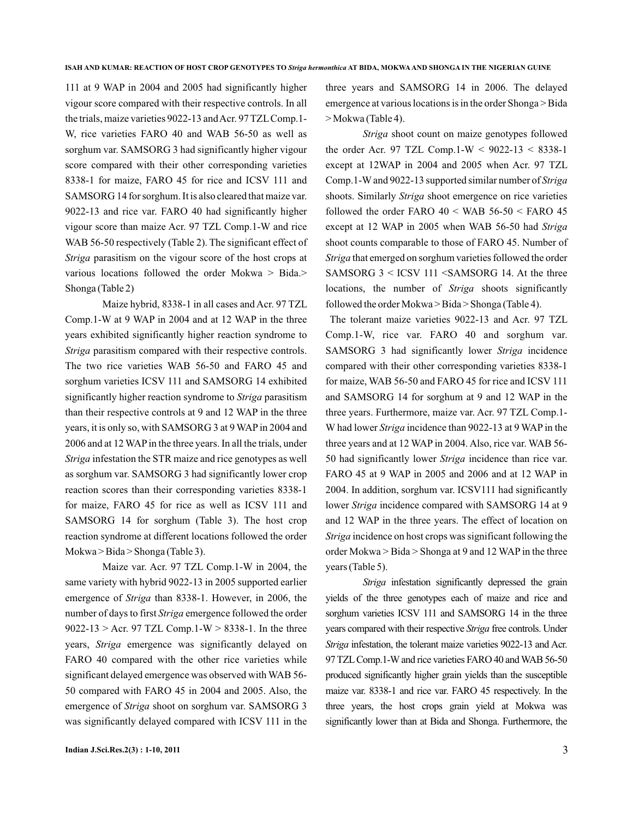111 at 9 WAP in 2004 and 2005 had significantly higher vigour score compared with their respective controls. In all the trials, maize varieties 9022-13 and Acr. 97 TZL Comp.1-W, rice varieties FARO 40 and WAB 56-50 as well as sorghum var. SAMSORG 3 had significantly higher vigour score compared with their other corresponding varieties 8338-1 for maize, FARO 45 for rice and ICSV 111 and SAMSORG 14 for sorghum. It is also cleared that maize var. 9022-13 and rice var. FARO 40 had significantly higher vigour score than maize Acr. 97 TZL Comp.1-W and rice WAB 56-50 respectively (Table 2). The significant effect of Striga parasitism on the vigour score of the host crops at various locations followed the order Mokwa > Bida.> Shonga (Table 2)

Maize hybrid, 8338-1 in all cases and Acr. 97 TZL Comp.1-W at 9 WAP in 2004 and at 12 WAP in the three years exhibited significantly higher reaction syndrome to Striga parasitism compared with their respective controls. The two rice varieties WAB 56-50 and FARO 45 and sorghum varieties ICSV 111 and SAMSORG 14 exhibited significantly higher reaction syndrome to Striga parasitism than their respective controls at 9 and 12 WAP in the three years, it is only so, with SAMSORG 3 at 9 WAP in 2004 and 2006 and at 12WAPin the three years. In all the trials, under Striga infestation the STR maize and rice genotypes as well as sorghum var. SAMSORG 3 had significantly lower crop reaction scores than their corresponding varieties 8338-1 for maize, FARO 45 for rice as well as ICSV 111 and SAMSORG 14 for sorghum (Table 3). The host crop reaction syndrome at different locations followed the order Mokwa > Bida > Shonga (Table 3).

Maize var. Acr. 97 TZL Comp.1-W in 2004, the same variety with hybrid 9022-13 in 2005 supported earlier emergence of Striga than 8338-1. However, in 2006, the number of days to first Striga emergence followed the order 9022-13 > Acr. 97 TZL Comp.1-W > 8338-1. In the three years, Striga emergence was significantly delayed on FARO 40 compared with the other rice varieties while significant delayed emergence was observed with WAB 56- 50 compared with FARO 45 in 2004 and 2005. Also, the emergence of Striga shoot on sorghum var. SAMSORG 3 was significantly delayed compared with ICSV 111 in the three years and SAMSORG 14 in 2006. The delayed emergence at various locations is in the order Shonga > Bida > Mokwa (Table 4).

Striga shoot count on maize genotypes followed the order Acr. 97 TZL Comp.1-W <  $9022-13 < 8338-1$ except at 12WAP in 2004 and 2005 when Acr. 97 TZL Comp.1-W and 9022-13 supported similar number of *Striga* shoots. Similarly Striga shoot emergence on rice varieties followed the order FARO  $40 <$  WAB  $56-50 <$  FARO  $45$ except at 12 WAP in 2005 when WAB 56-50 had *Striga* shoot counts comparable to those of FARO 45. Number of Striga that emerged on sorghum varieties followed the order SAMSORG 3 < ICSV 111 <SAMSORG 14. At the three locations, the number of Striga shoots significantly followed the order Mokwa > Bida > Shonga (Table 4).

The tolerant maize varieties 9022-13 and Acr. 97 TZL Comp.1-W, rice var. FARO 40 and sorghum var. SAMSORG 3 had significantly lower Striga incidence compared with their other corresponding varieties 8338-1 for maize, WAB 56-50 and FARO 45 for rice and ICSV 111 and SAMSORG 14 for sorghum at 9 and 12 WAP in the three years. Furthermore, maize var. Acr. 97 TZL Comp.1- W had lower Striga incidence than 9022-13 at 9 WAP in the three years and at 12 WAP in 2004. Also, rice var. WAB 56- 50 had significantly lower Striga incidence than rice var. FARO 45 at 9 WAP in 2005 and 2006 and at 12 WAP in 2004. In addition, sorghum var. ICSV111 had significantly lower Striga incidence compared with SAMSORG 14 at 9 and 12 WAP in the three years. The effect of location on Striga incidence on host crops was significant following the order Mokwa > Bida > Shonga at 9 and 12 WAP in the three years (Table 5).

Striga infestation significantly depressed the grain yields of the three genotypes each of maize and rice and sorghum varieties ICSV 111 and SAMSORG 14 in the three years compared with their respective Striga free controls. Under Striga infestation, the tolerant maize varieties 9022-13 and Acr. 97 TZL Comp.1-W and rice varieties FARO 40 and WAB 56-50 produced significantly higher grain yields than the susceptible maize var. 8338-1 and rice var. FARO 45 respectively. In the three years, the host crops grain yield at Mokwa was significantly lower than at Bida and Shonga. Furthermore, the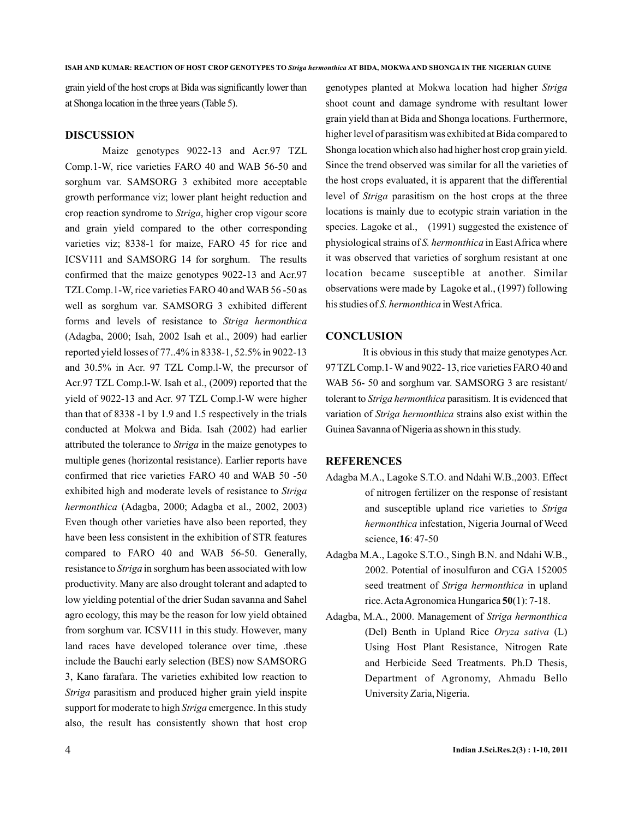grain yield of the host crops at Bida was significantly lower than at Shonga location in the three years (Table 5).

#### **DISCUSSION**

Maize genotypes 9022-13 and Acr.97 TZL Comp.1-W, rice varieties FARO 40 and WAB 56-50 and sorghum var. SAMSORG 3 exhibited more acceptable growth performance viz; lower plant height reduction and crop reaction syndrome to Striga, higher crop vigour score and grain yield compared to the other corresponding varieties viz; 8338-1 for maize, FARO 45 for rice and ICSV111 and SAMSORG 14 for sorghum. The results confirmed that the maize genotypes 9022-13 and Acr.97 TZL Comp.1-W, rice varieties FARO 40 and WAB 56 -50 as well as sorghum var. SAMSORG 3 exhibited different forms and levels of resistance to *Striga hermonthica* (Adagba, 2000; Isah, 2002 Isah et al., 2009) had earlier reported yield losses of 77..4% in 8338-1, 52.5% in 9022-13 and 30.5% in Acr. 97 TZL Comp.l-W, the precursor of Acr.97 TZL Comp.l-W. Isah et al., (2009) reported that the yield of 9022-13 and Acr. 97 TZL Comp.l-W were higher than that of 8338 -1 by 1.9 and 1.5 respectively in the trials conducted at Mokwa and Bida. Isah (2002) had earlier attributed the tolerance to Striga in the maize genotypes to multiple genes (horizontal resistance). Earlier reports have confirmed that rice varieties FARO 40 and WAB 50 -50 exhibited high and moderate levels of resistance to *Striga* (Adagba, 2000; Adagba et al., 2002, 2003) *hermonthica* Even though other varieties have also been reported, they have been less consistent in the exhibition of STR features compared to FARO 40 and WAB 56-50. Generally, resistance to Striga in sorghum has been associated with low productivity. Many are also drought tolerant and adapted to low yielding potential of the drier Sudan savanna and Sahel agro ecology, this may be the reason for low yield obtained from sorghum var. ICSV111 in this study. However, many land races have developed tolerance over time, .these include the Bauchi early selection (BES) now SAMSORG 3, Kano farafara. The varieties exhibited low reaction to Striga parasitism and produced higher grain yield inspite support for moderate to high Striga emergence. In this study also, the result has consistently shown that host crop

genotypes planted at Mokwa location had higher *Striga* shoot count and damage syndrome with resultant lower grain yield than at Bida and Shonga locations. Furthermore, higher level of parasitism was exhibited at Bida compared to Shonga location which also had higher host crop grain yield. Since the trend observed was similar for all the varieties of the host crops evaluated, it is apparent that the differential level of Striga parasitism on the host crops at the three locations is mainly due to ecotypic strain variation in the species. Lagoke et al., (1991) suggested the existence of physiological strains of S. hermonthica in East Africa where it was observed that varieties of sorghum resistant at one location became susceptible at another. Similar observations were made by Lagoke et al., (1997) following his studies of S. hermonthica in West Africa.

### **CONCLUSION**

It is obvious in this study that maize genotypes Acr. 97 TZLComp.1-W and 9022- 13, rice varieties FARO 40 and WAB 56- 50 and sorghum var. SAMSORG 3 are resistant/ tolerant to Striga hermonthica parasitism. It is evidenced that variation of Striga hermonthica strains also exist within the Guinea Savanna of Nigeria as shown in this study.

### **REFERENCES**

- Adagba M.A., Lagoke S.T.O. and Ndahi W.B.,2003. Effect of nitrogen fertilizer on the response of resistant and susceptible upland rice varieties to *Striga* hermonthica infestation, Nigeria Journal of Weed science, 16: 47-50
- Adagba M.A., Lagoke S.T.O., Singh B.N. and Ndahi W.B., 2002. Potential of inosulfuron and CGA 152005 seed treatment of Striga hermonthica in upland rice. Acta Agronomica Hungarica 50(1): 7-18.
- Adagba, M.A., 2000. Management of *Striga hermonthica* (Del) Benth in Upland Rice Oryza sativa (L) Using Host Plant Resistance, Nitrogen Rate and Herbicide Seed Treatments. Ph.D Thesis, Department of Agronomy, Ahmadu Bello University Zaria, Nigeria.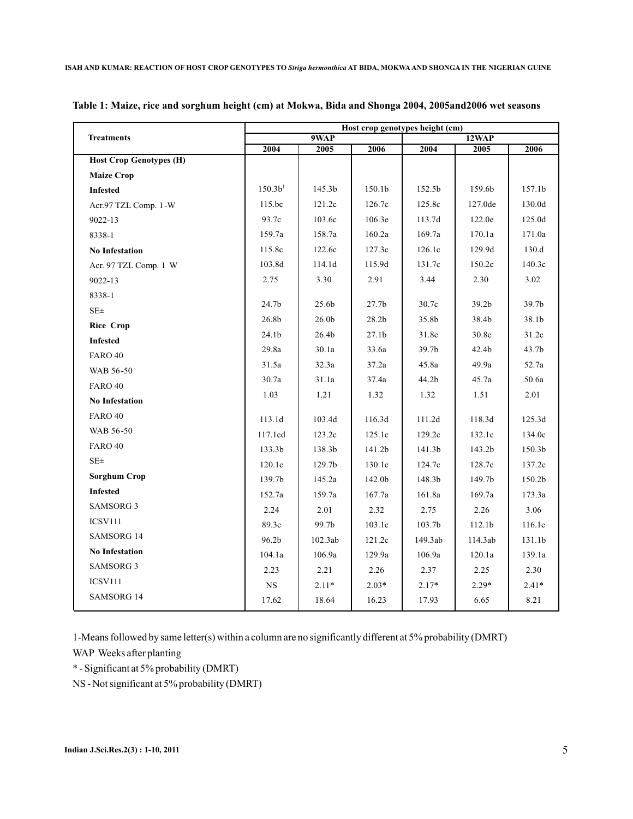|                                | Host crop genotypes height (cm) |                   |                   |         |                    |                   |  |  |  |  |
|--------------------------------|---------------------------------|-------------------|-------------------|---------|--------------------|-------------------|--|--|--|--|
| <b>Treatments</b>              |                                 | 9WAP              |                   |         | 12WAP              |                   |  |  |  |  |
| <b>Host Crop Genotypes (H)</b> | 2004                            | 2005              | 2006              | 2004    | 2005               | 2006              |  |  |  |  |
|                                |                                 |                   |                   |         |                    |                   |  |  |  |  |
| <b>Maize Crop</b>              |                                 |                   |                   |         |                    |                   |  |  |  |  |
| <b>Infested</b>                | 150.3 <sup>1</sup>              | 145.3b            | 150.1b            | 152.5b  | 159.6b             | 157.1b            |  |  |  |  |
| Acr.97 TZL Comp. 1-W           | 115.bc                          | 121.2c            | 126.7c            | 125.8c  | 127.0de            | 130.0d            |  |  |  |  |
| 9022-13                        | 93.7c                           | 103.6c            | 106.3e            | 113.7d  | 122.0e             | 125.0d            |  |  |  |  |
| 8338-1                         | 159.7a                          | 158.7a            | 160.2a            | 169.7a  | 170.1a             | 171.0a            |  |  |  |  |
| <b>No Infestation</b>          | 115.8c                          | 122.6c            | 127.3c            | 126.1c  | 129.9d             | 130.d             |  |  |  |  |
| Acr. 97 TZL Comp. 1 W          | 103.8d                          | 114.1d            | 115.9d            | 131.7c  | 150.2c             | 140.3c            |  |  |  |  |
| 9022-13                        | 2.75                            | 3.30              | 2.91              | 3.44    | 2.30               | 3.02              |  |  |  |  |
| 8338-1                         |                                 |                   |                   |         |                    |                   |  |  |  |  |
| $SE\pm$                        | 24.7b                           | 25.6b             | 27.7 <sub>b</sub> | 30.7c   | 39.2 <sub>b</sub>  | 39.7 <sub>b</sub> |  |  |  |  |
| <b>Rice Crop</b>               | 26.8b                           | 26.0 <sub>b</sub> | 28.2 <sub>b</sub> | 35.8b   | 38.4b              | 38.1b             |  |  |  |  |
| <b>Infested</b>                | 24.1 <sub>b</sub>               | 26.4b             | 27.1 <sub>b</sub> | 31.8c   | 30.8c              | 31.2c             |  |  |  |  |
| FARO 40                        | 29.8a                           | 30.1a             | 33.6a             | 39.7b   | 42.4b              | 43.7b             |  |  |  |  |
| WAB 56-50                      | 31.5a                           | 32.3a             | 37.2a             | 45.8a   | 49.9a              | 52.7a             |  |  |  |  |
| FARO 40                        | 30.7a                           | 31.1a             | 37.4a             | 44.2b   | 45.7a              | 50.6a             |  |  |  |  |
| <b>No Infestation</b>          | 1.03                            | 1.21              | 1.32              | 1.32    | 1.51               | 2.01              |  |  |  |  |
| <b>FARO 40</b>                 | 113.1d                          | 103.4d            | 116.3d            | 111.2d  | 118.3d             | 125.3d            |  |  |  |  |
| WAB 56-50                      |                                 |                   |                   |         |                    |                   |  |  |  |  |
| <b>FARO 40</b>                 | 117.1cd                         | 123.2c            | 125.1c            | 129.2c  | 132.1c             | 134.0c            |  |  |  |  |
| $SE\pm$                        | 133.3b                          | 138.3b            | 141.2b            | 141.3b  | 143.2b             | 150.3b            |  |  |  |  |
|                                | 120.1c                          | 129.7b            | 130.1c            | 124.7c  | 128.7c             | 137.2c            |  |  |  |  |
| <b>Sorghum Crop</b>            | 139.7b                          | 145.2a            | 142.0b            | 148.3b  | 149.7b             | 150.2b            |  |  |  |  |
| <b>Infested</b>                | 152.7a                          | 159.7a            | 167.7a            | 161.8a  | 169.7a             | 173.3a            |  |  |  |  |
| <b>SAMSORG 3</b>               | 2.24                            | 2.01              | 2.32              | 2.75    | 2.26               | 3.06              |  |  |  |  |
| <b>ICSV111</b>                 | 89.3c                           | 99.7b             | 103.1c            | 103.7b  | 112.1 <sub>b</sub> | 116.1c            |  |  |  |  |
| <b>SAMSORG 14</b>              | 96.2b                           | 102.3ab           | 121.2c            | 149.3ab | 114.3ab            | 131.1b            |  |  |  |  |
| <b>No Infestation</b>          | 104.1a                          | 106.9a            | 129.9a            | 106.9a  | 120.1a             | 139.1a            |  |  |  |  |
| SAMSORG 3                      | 2.23                            | 2.21              | 2.26              | 2.37    | 2.25               | 2.30              |  |  |  |  |
| <b>ICSV111</b>                 | <b>NS</b>                       | $2.11*$           | $2.03*$           | $2.17*$ | $2.29*$            | $2.41*$           |  |  |  |  |
| <b>SAMSORG 14</b>              | 17.62                           | 18.64             | 16.23             | 17.93   | 6.65               | 8.21              |  |  |  |  |

**Table 1: Maize, rice and sorghum height (cm) at Mokwa, Bida and Shonga 2004, 2005and2006 wet seasons**

1-Means followed by same letter(s) within a column are no significantly different at 5% probability (DMRT) WAP Weeks after planting

\* - Significant at 5% probability (DMRT)

NS - Not significant at 5% probability (DMRT)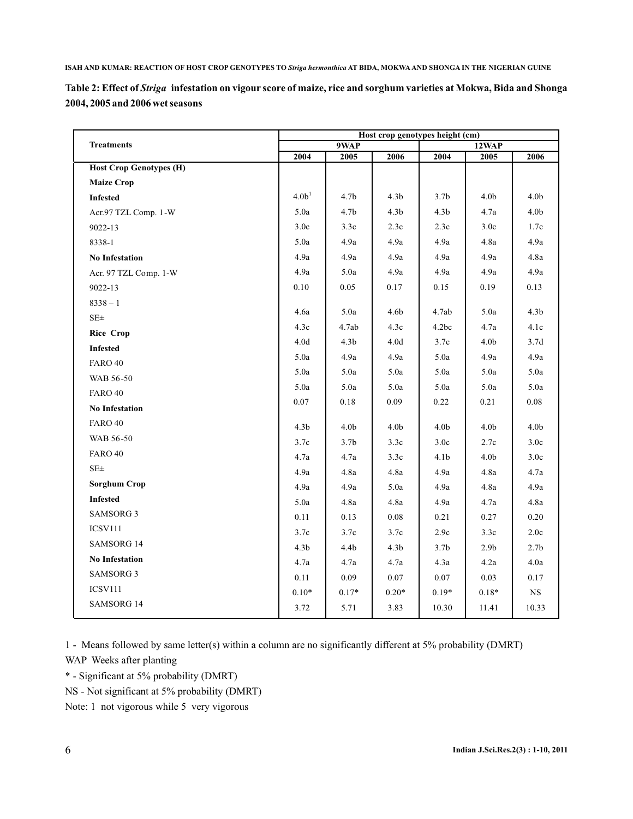|                                 | Table 2: Effect of Striga infestation on vigour score of maize, rice and sorghum varieties at Mokwa, Bida and Shonga |  |  |
|---------------------------------|----------------------------------------------------------------------------------------------------------------------|--|--|
| 2004, 2005 and 2006 wet seasons |                                                                                                                      |  |  |

|                                | Host crop genotypes height (cm) |                  |                  |                  |                  |                  |  |  |  |
|--------------------------------|---------------------------------|------------------|------------------|------------------|------------------|------------------|--|--|--|
| <b>Treatments</b>              |                                 | 9WAP             |                  |                  | 12WAP            |                  |  |  |  |
| <b>Host Crop Genotypes (H)</b> | 2004                            | 2005             | 2006             | 2004             | 2005             | 2006             |  |  |  |
| <b>Maize Crop</b>              |                                 |                  |                  |                  |                  |                  |  |  |  |
|                                | 4.0 <sup>1</sup>                | 4.7 <sub>b</sub> | 4.3 <sub>b</sub> | 3.7 <sub>b</sub> | 4.0 <sub>b</sub> | 4.0 <sub>b</sub> |  |  |  |
| <b>Infested</b>                |                                 |                  |                  |                  |                  |                  |  |  |  |
| Acr.97 TZL Comp. 1-W           | 5.0a                            | 4.7 <sub>b</sub> | 4.3 <sub>b</sub> | 4.3 <sub>b</sub> | 4.7a             | 4.0 <sub>b</sub> |  |  |  |
| 9022-13                        | 3.0c                            | 3.3c             | 2.3c             | 2.3c             | 3.0 <sub>c</sub> | 1.7c             |  |  |  |
| 8338-1                         | 5.0a                            | 4.9a             | 4.9a             | 4.9a             | 4.8a             | 4.9a             |  |  |  |
| <b>No Infestation</b>          | 4.9a                            | 4.9a             | 4.9a             | 4.9a             | 4.9a             | 4.8a             |  |  |  |
| Acr. 97 TZL Comp. 1-W          | 4.9a                            | 5.0a             | 4.9a             | 4.9a             | 4.9a             | 4.9a             |  |  |  |
| 9022-13                        | 0.10                            | 0.05             | 0.17             | 0.15             | 0.19             | 0.13             |  |  |  |
| $8338 - 1$                     |                                 | 5.0a             | 4.6b             |                  | 5.0a             | 4.3 <sub>b</sub> |  |  |  |
| $SE\pm$                        | 4.6a                            |                  |                  | 4.7ab            |                  |                  |  |  |  |
| <b>Rice Crop</b>               | 4.3c                            | 4.7ab            | 4.3c             | 4.2bc            | 4.7a             | 4.1c             |  |  |  |
| <b>Infested</b>                | 4.0 <sub>d</sub>                | 4.3 <sub>b</sub> | 4.0 <sub>d</sub> | 3.7c             | 4.0 <sub>b</sub> | 3.7d             |  |  |  |
| FARO 40                        | 5.0a                            | 4.9a             | 4.9a             | 5.0a             | 4.9a             | 4.9a             |  |  |  |
| WAB 56-50                      | 5.0a                            | 5.0a             | 5.0a             | 5.0a             | 5.0a             | 5.0a             |  |  |  |
| <b>FARO 40</b>                 | 5.0a                            | 5.0a             | 5.0a             | 5.0a             | 5.0a             | 5.0a             |  |  |  |
| <b>No Infestation</b>          | 0.07                            | 0.18             | 0.09             | 0.22             | 0.21             | 0.08             |  |  |  |
| <b>FARO 40</b>                 | 4.3 <sub>b</sub>                | 4.0 <sub>b</sub> | 4.0 <sub>b</sub> | 4.0 <sub>b</sub> | 4.0 <sub>b</sub> | 4.0 <sub>b</sub> |  |  |  |
| WAB 56-50                      | 3.7c                            | 3.7 <sub>b</sub> | 3.3c             | 3.0 <sub>c</sub> | 2.7c             | 3.0 <sub>c</sub> |  |  |  |
| FARO 40                        | 4.7a                            | 4.7a             | 3.3c             | 4.1 <sub>b</sub> | 4.0 <sub>b</sub> | 3.0 <sub>c</sub> |  |  |  |
| $SE\pm$                        | 4.9a                            | 4.8a             | 4.8a             | 4.9a             | 4.8a             | 4.7a             |  |  |  |
| <b>Sorghum Crop</b>            | 4.9a                            | 4.9a             | 5.0a             | 4.9a             | 4.8a             | 4.9a             |  |  |  |
| <b>Infested</b>                | 5.0a                            | 4.8a             | 4.8a             | 4.9a             | 4.7a             | 4.8a             |  |  |  |
| <b>SAMSORG 3</b>               | 0.11                            | 0.13             | $0.08\,$         | 0.21             | 0.27             | 0.20             |  |  |  |
| <b>ICSV111</b>                 | 3.7c                            | 3.7c             | 3.7c             | 2.9c             | 3.3c             | 2.0c             |  |  |  |
| SAMSORG 14                     | 4.3 <sub>b</sub>                | 4.4b             | 4.3 <sub>b</sub> | 3.7 <sub>b</sub> | 2.9 <sub>b</sub> | 2.7 <sub>b</sub> |  |  |  |
| <b>No Infestation</b>          | 4.7a                            | 4.7a             | 4.7a             | 4.3a             | 4.2a             | 4.0a             |  |  |  |
| <b>SAMSORG 3</b>               | 0.11                            | 0.09             | 0.07             | 0.07             | 0.03             | 0.17             |  |  |  |
| <b>ICSV111</b>                 | $0.10*$                         | $0.17*$          | $0.20*$          | $0.19*$          | $0.18\sp{*}$     | $_{\rm NS}$      |  |  |  |
| <b>SAMSORG 14</b>              | 3.72                            | 5.71             | 3.83             | 10.30            | 11.41            | 10.33            |  |  |  |
|                                |                                 |                  |                  |                  |                  |                  |  |  |  |

1 - Means followed by same letter(s) within a column are no significantly different at 5% probability (DMRT) WAP Weeks after planting

\* - Significant at 5% probability (DMRT)

NS - Not significant at 5% probability (DMRT)

Note: 1 not vigorous while 5 very vigorous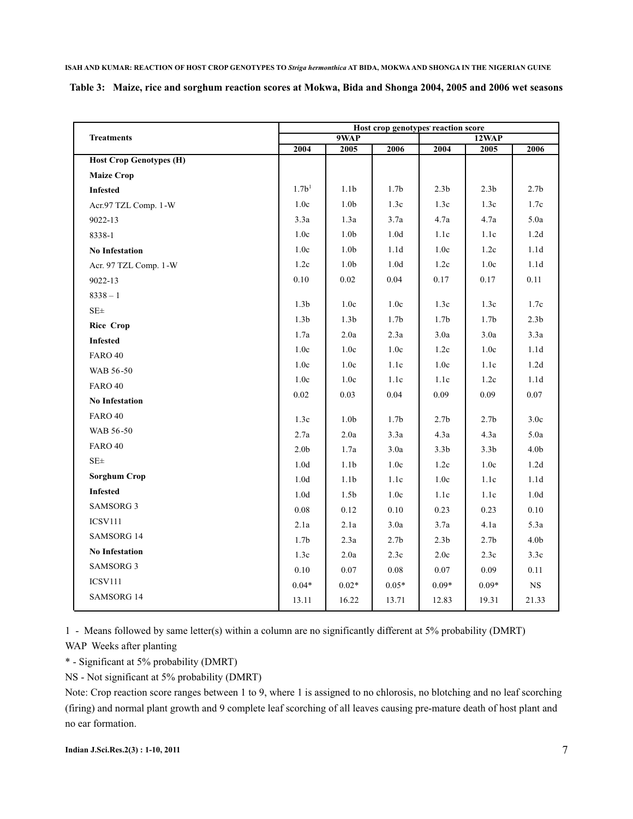|  | Table 3: Maize, rice and sorghum reaction scores at Mokwa, Bida and Shonga 2004, 2005 and 2006 wet seasons |  |  |  |  |
|--|------------------------------------------------------------------------------------------------------------|--|--|--|--|
|--|------------------------------------------------------------------------------------------------------------|--|--|--|--|

|                                | Host crop genotypes' reaction score |                  |                  |                  |                  |                  |  |  |  |
|--------------------------------|-------------------------------------|------------------|------------------|------------------|------------------|------------------|--|--|--|
| <b>Treatments</b>              |                                     | 9WAP             |                  | 12WAP            |                  |                  |  |  |  |
| <b>Host Crop Genotypes (H)</b> | 2004                                | 2005             | 2006             | 2004             | 2005             | 2006             |  |  |  |
|                                |                                     |                  |                  |                  |                  |                  |  |  |  |
| <b>Maize Crop</b>              |                                     |                  |                  |                  |                  |                  |  |  |  |
| <b>Infested</b>                | $1.7b^{1}$                          | 1.1 <sub>b</sub> | 1.7 <sub>b</sub> | 2.3 <sub>b</sub> | 2.3 <sub>b</sub> | 2.7 <sub>b</sub> |  |  |  |
| Acr.97 TZL Comp. 1-W           | 1.0c                                | $1.0\mathrm{b}$  | 1.3c             | 1.3c             | 1.3c             | 1.7c             |  |  |  |
| 9022-13                        | 3.3a                                | 1.3a             | 3.7a             | 4.7a             | 4.7a             | 5.0a             |  |  |  |
| 8338-1                         | 1.0c                                | 1.0 <sub>b</sub> | 1.0 <sub>d</sub> | 1.1c             | 1.1c             | 1.2d             |  |  |  |
| <b>No Infestation</b>          | 1.0c                                | 1.0 <sub>b</sub> | 1.1 <sub>d</sub> | 1.0c             | 1.2c             | 1.1 <sub>d</sub> |  |  |  |
| Acr. 97 TZL Comp. 1-W          | 1.2c                                | 1.0 <sub>b</sub> | 1.0 <sub>d</sub> | 1.2c             | 1.0c             | 1.1d             |  |  |  |
| 9022-13                        | 0.10                                | 0.02             | 0.04             | 0.17             | 0.17             | 0.11             |  |  |  |
| $8338 - 1$                     |                                     |                  |                  |                  |                  |                  |  |  |  |
| $SE \pm$                       | 1.3 <sub>b</sub>                    | 1.0c             | 1.0c             | 1.3c             | 1.3c             | 1.7c             |  |  |  |
| <b>Rice Crop</b>               | 1.3 <sub>b</sub>                    | 1.3 <sub>b</sub> | 1.7 <sub>b</sub> | 1.7 <sub>b</sub> | 1.7 <sub>b</sub> | 2.3 <sub>b</sub> |  |  |  |
| <b>Infested</b>                | 1.7a                                | 2.0a             | 2.3a             | 3.0a             | 3.0a             | 3.3a             |  |  |  |
| <b>FARO 40</b>                 | $1.0c$                              | 1.0c             | 1.0c             | 1.2c             | 1.0c             | 1.1d             |  |  |  |
| WAB 56-50                      | 1.0c                                | 1.0c             | 1.1c             | 1.0c             | 1.1c             | 1.2d             |  |  |  |
| <b>FARO 40</b>                 | 1.0c                                | 1.0c             | 1.1c             | 1.1c             | 1.2c             | 1.1d             |  |  |  |
| <b>No Infestation</b>          | $0.02\,$                            | 0.03             | 0.04             | 0.09             | 0.09             | $0.07\,$         |  |  |  |
| <b>FARO 40</b>                 |                                     |                  |                  |                  |                  |                  |  |  |  |
| WAB 56-50                      | 1.3c                                | 1.0 <sub>b</sub> | 1.7 <sub>b</sub> | 2.7 <sub>b</sub> | 2.7 <sub>b</sub> | 3.0c             |  |  |  |
| <b>FARO 40</b>                 | 2.7a                                | 2.0a             | 3.3a             | 4.3a             | 4.3a             | 5.0a             |  |  |  |
|                                | 2.0 <sub>b</sub>                    | 1.7a             | 3.0a             | 3.3 <sub>b</sub> | 3.3 <sub>b</sub> | 4.0 <sub>b</sub> |  |  |  |
| $SE \pm$                       | 1.0 <sub>d</sub>                    | 1.1 <sub>b</sub> | 1.0c             | 1.2c             | 1.0c             | 1.2d             |  |  |  |
| <b>Sorghum Crop</b>            | 1.0d                                | 1.1 <sub>b</sub> | 1.1c             | 1.0c             | 1.1c             | 1.1 <sub>d</sub> |  |  |  |
| <b>Infested</b>                | 1.0d                                | 1.5 <sub>b</sub> | 1.0c             | 1.1c             | 1.1c             | 1.0d             |  |  |  |
| <b>SAMSORG 3</b>               | $0.08\,$                            | 0.12             | 0.10             | 0.23             | 0.23             | $0.10\,$         |  |  |  |
| <b>ICSV111</b>                 | 2.1a                                | 2.1a             | 3.0a             | 3.7a             | 4.1a             | 5.3a             |  |  |  |
| SAMSORG 14                     | 1.7 <sub>b</sub>                    | 2.3a             | 2.7 <sub>b</sub> | 2.3 <sub>b</sub> | 2.7 <sub>b</sub> | 4.0 <sub>b</sub> |  |  |  |
| <b>No Infestation</b>          | 1.3c                                | 2.0a             | 2.3c             | 2.0c             | 2.3c             | 3.3c             |  |  |  |
| <b>SAMSORG 3</b>               | 0.10                                | 0.07             | $0.08\,$         | 0.07             | 0.09             | 0.11             |  |  |  |
| <b>ICSV111</b>                 | $0.04*$                             | $0.02*$          | $0.05*$          | $0.09*$          | $0.09*$          | <b>NS</b>        |  |  |  |
| SAMSORG 14                     | 13.11                               | 16.22            | 13.71            | 12.83            | 19.31            | 21.33            |  |  |  |

1 - Means followed by same letter(s) within a column are no significantly different at 5% probability (DMRT) WAP Weeks after planting

\* - Significant at 5% probability (DMRT)

NS - Not significant at 5% probability (DMRT)

Note: Crop reaction score ranges between 1 to 9, where 1 is assigned to no chlorosis, no blotching and no leaf scorching (firing) and normal plant growth and 9 complete leaf scorching of all leaves causing pre-mature death of host plant and no ear formation.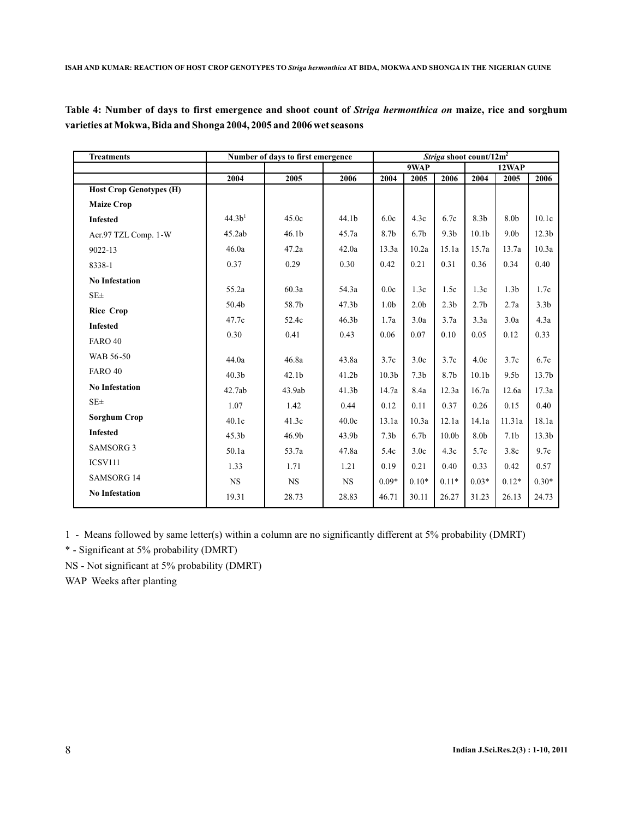Table 4: Number of days to first emergence and shoot count of *Striga hermonthica on* maize, rice and sorghum **varieties at Mokwa, Bida and Shonga 2004, 2005 and 2006 wet seasons**

| <b>Treatments</b>              | Number of days to first emergence |                   |                   | Striga shoot count/12m <sup>2</sup> |                  |                   |                   |                  |                   |
|--------------------------------|-----------------------------------|-------------------|-------------------|-------------------------------------|------------------|-------------------|-------------------|------------------|-------------------|
|                                |                                   |                   |                   |                                     | 9WAP             |                   | 12WAP             |                  |                   |
|                                | 2004                              | 2005              | 2006              | 2004                                | 2005             | 2006              | 2004              | 2005             | 2006              |
| <b>Host Crop Genotypes (H)</b> |                                   |                   |                   |                                     |                  |                   |                   |                  |                   |
| <b>Maize Crop</b>              |                                   |                   |                   |                                     |                  |                   |                   |                  |                   |
| <b>Infested</b>                | 44.3 <sup>1</sup>                 | 45.0c             | 44.1b             | 6.0c                                | 4.3c             | 6.7c              | 8.3 <sub>b</sub>  | 8.0b             | 10.1c             |
| Acr.97 TZL Comp. 1-W           | 45.2ab                            | 46.1 <sub>b</sub> | 45.7a             | 8.7b                                | 6.7 <sub>b</sub> | 9.3 <sub>b</sub>  | 10.1 <sub>b</sub> | 9.0 <sub>b</sub> | 12.3 <sub>b</sub> |
| 9022-13                        | 46.0a                             | 47.2a             | 42.0a             | 13.3a                               | 10.2a            | 15.1a             | 15.7a             | 13.7a            | 10.3a             |
| 8338-1                         | 0.37                              | 0.29              | 0.30              | 0.42                                | 0.21             | 0.31              | 0.36              | 0.34             | 0.40              |
| <b>No Infestation</b>          |                                   |                   |                   |                                     |                  |                   |                   |                  |                   |
| SE <sub>±</sub>                | 55.2a                             | 60.3a             | 54.3a             | 0.0c                                | 1.3c             | 1.5c              | 1.3c              | 1.3 <sub>b</sub> | 1.7c              |
| <b>Rice Crop</b>               | 50.4b                             | 58.7b             | 47.3 <sub>b</sub> | 1.0 <sub>b</sub>                    | 2.0 <sub>b</sub> | 2.3 <sub>b</sub>  | 2.7 <sub>b</sub>  | 2.7a             | 3.3 <sub>b</sub>  |
| <b>Infested</b>                | 47.7c                             | 52.4c             | 46.3 <sub>b</sub> | 1.7a                                | 3.0a             | 3.7a              | 3.3a              | 3.0a             | 4.3a              |
| <b>FARO 40</b>                 | 0.30                              | 0.41              | 0.43              | 0.06                                | 0.07             | 0.10              | 0.05              | 0.12             | 0.33              |
| WAB 56-50                      | 44.0a                             | 46.8a             | 43.8a             | 3.7c                                | 3.0c             | 3.7c              | 4.0c              | 3.7c             | 6.7c              |
| <b>FARO 40</b>                 | 40.3 <sub>b</sub>                 | 42.1 <sub>b</sub> | 41.2 <sub>b</sub> | 10.3 <sub>b</sub>                   | 7.3 <sub>b</sub> | 8.7b              | 10.1 <sub>b</sub> | 9.5 <sub>b</sub> | 13.7 <sub>b</sub> |
| <b>No Infestation</b>          | 42.7ab                            | 43.9ab            | 41.3 <sub>b</sub> | 14.7a                               | 8.4a             | 12.3a             | 16.7a             | 12.6a            | 17.3a             |
| $SE\pm$                        | 1.07                              | 1.42              | 0.44              | 0.12                                | 0.11             | 0.37              | 0.26              | 0.15             | 0.40              |
| Sorghum Crop                   | 40.1c                             | 41.3c             | 40.0c             | 13.1a                               | 10.3a            | 12.1a             | 14.1a             | 11.31a           | 18.1a             |
| <b>Infested</b>                | 45.3 <sub>b</sub>                 | 46.9b             | 43.9b             | 7.3 <sub>b</sub>                    | 6.7 <sub>b</sub> | 10.0 <sub>b</sub> | 8.0b              | 7.1 <sub>b</sub> | 13.3 <sub>b</sub> |
| <b>SAMSORG 3</b>               | 50.1a                             | 53.7a             | 47.8a             | 5.4c                                | 3.0 <sub>c</sub> | 4.3c              | 5.7c              | 3.8c             | 9.7c              |
| <b>ICSV111</b>                 | 1.33                              | 1.71              | 1.21              | 0.19                                | 0.21             | 0.40              | 0.33              | 0.42             | 0.57              |
| <b>SAMSORG 14</b>              | <b>NS</b>                         | <b>NS</b>         | <b>NS</b>         | $0.09*$                             | $0.10*$          | $0.11*$           | $0.03*$           | $0.12*$          | $0.30*$           |
| <b>No Infestation</b>          | 19.31                             | 28.73             | 28.83             | 46.71                               | 30.11            | 26.27             | 31.23             | 26.13            | 24.73             |

1 - Means followed by same letter(s) within a column are no significantly different at 5% probability (DMRT)

\* - Significant at 5% probability (DMRT)

NS - Not significant at 5% probability (DMRT)

WAP Weeks after planting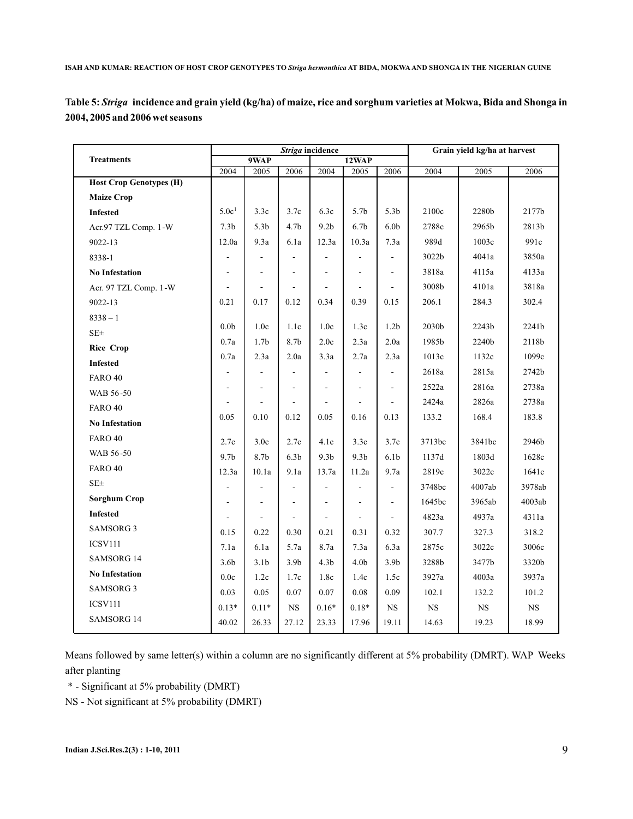| Table 5: <i>Striga</i> incidence and grain yield (kg/ha) of maize, rice and sorghum varieties at Mokwa, Bida and Shonga in |  |  |
|----------------------------------------------------------------------------------------------------------------------------|--|--|
| 2004, 2005 and 2006 wet seasons                                                                                            |  |  |

|                                |                          |                          | Striga incidence |                          | Grain yield kg/ha at harvest |                          |           |        |             |
|--------------------------------|--------------------------|--------------------------|------------------|--------------------------|------------------------------|--------------------------|-----------|--------|-------------|
| <b>Treatments</b>              |                          | 9WAP                     |                  |                          | 12WAP                        |                          |           |        |             |
| <b>Host Crop Genotypes (H)</b> | 2004                     | 2005                     | 2006             | 2004                     | 2005                         | 2006                     | 2004      | 2005   | 2006        |
| <b>Maize Crop</b>              |                          |                          |                  |                          |                              |                          |           |        |             |
| <b>Infested</b>                | 5.0c <sup>1</sup>        | 3.3c                     | 3.7c             | 6.3c                     | 5.7 <sub>b</sub>             | 5.3 <sub>b</sub>         | 2100c     | 2280b  | 2177b       |
| Acr.97 TZL Comp. 1-W           | 7.3 <sub>b</sub>         | 5.3 <sub>b</sub>         | 4.7 <sub>b</sub> | 9.2 <sub>b</sub>         | 6.7 <sub>b</sub>             | 6.0 <sub>b</sub>         | 2788c     | 2965b  | 2813b       |
| 9022-13                        | 12.0a                    | 9.3a                     | 6.1a             | 12.3a                    | 10.3a                        | 7.3a                     | 989d      | 1003c  | 991c        |
| 8338-1                         |                          | ÷,                       | ä,               |                          |                              | $\blacksquare$           | 3022b     | 4041a  | 3850a       |
| <b>No Infestation</b>          |                          | ÷                        |                  |                          | $\overline{\phantom{a}}$     | $\overline{a}$           | 3818a     | 4115a  | 4133a       |
| Acr. 97 TZL Comp. 1-W          | $\overline{\phantom{a}}$ | ÷                        | $\overline{a}$   |                          | $\overline{\phantom{a}}$     | $\overline{\phantom{a}}$ | 3008b     | 4101a  | 3818a       |
| 9022-13                        | 0.21                     | 0.17                     | 0.12             | 0.34                     | 0.39                         | 0.15                     | 206.1     | 284.3  | 302.4       |
| $8338 - 1$                     |                          |                          |                  |                          |                              |                          |           |        |             |
| SE <sub>±</sub>                | 0.0 <sub>b</sub>         | 1.0 <sub>c</sub>         | 1.1c             | 1.0c                     | 1.3c                         | 1.2 <sub>b</sub>         | 2030b     | 2243b  | 2241b       |
| <b>Rice Crop</b>               | 0.7a                     | 1.7 <sub>b</sub>         | 8.7b             | 2.0c                     | 2.3a                         | 2.0a                     | 1985b     | 2240b  | 2118b       |
| <b>Infested</b>                | 0.7a                     | 2.3a                     | 2.0a             | 3.3a                     | 2.7a                         | 2.3a                     | 1013c     | 1132c  | 1099c       |
| <b>FARO 40</b>                 |                          | $\overline{\phantom{a}}$ |                  |                          | $\sim$                       | $\overline{\phantom{a}}$ | 2618a     | 2815a  | 2742b       |
| WAB 56-50                      |                          | ÷,                       |                  | ä,                       | ä,                           | ÷,                       | 2522a     | 2816a  | 2738a       |
| <b>FARO 40</b>                 |                          | ÷,                       | ÷,               |                          | $\overline{\phantom{a}}$     | $\sim$                   | 2424a     | 2826a  | 2738a       |
| <b>No Infestation</b>          | 0.05                     | 0.10                     | 0.12             | 0.05                     | 0.16                         | 0.13                     | 133.2     | 168.4  | 183.8       |
| <b>FARO 40</b>                 | 2.7c                     | 3.0c                     | 2.7c             | 4.1c                     | 3.3c                         | 3.7c                     | 3713bc    | 3841bc | 2946b       |
| WAB 56-50                      | 9.7 <sub>b</sub>         | 8.7b                     | 6.3 <sub>b</sub> | 9.3 <sub>b</sub>         | 9.3 <sub>b</sub>             | 6.1 <sub>b</sub>         | 1137d     | 1803d  | 1628c       |
| <b>FARO 40</b>                 | 12.3a                    | 10.1a                    | 9.1a             | 13.7a                    | 11.2a                        | 9.7a                     | 2819c     | 3022c  | 1641c       |
| $SE\pm$                        |                          |                          |                  |                          |                              | $\overline{a}$           | 3748bc    | 4007ab | 3978ab      |
| <b>Sorghum Crop</b>            | ÷.                       | ÷,                       | ÷,               | $\overline{\phantom{a}}$ | $\sim$                       | $\blacksquare$           | 1645bc    | 3965ab | 4003ab      |
| <b>Infested</b>                |                          | $\overline{\phantom{a}}$ |                  | $\blacksquare$           | $\sim$                       | $\overline{\phantom{a}}$ | 4823a     | 4937a  | 4311a       |
| <b>SAMSORG 3</b>               | 0.15                     | 0.22                     | 0.30             | 0.21                     | 0.31                         | 0.32                     | 307.7     | 327.3  | 318.2       |
| <b>ICSV111</b>                 | 7.1a                     | 6.1a                     | 5.7a             | 8.7a                     | 7.3a                         | 6.3a                     | 2875c     | 3022c  | 3006c       |
| <b>SAMSORG 14</b>              | 3.6 <sub>b</sub>         | 3.1 <sub>b</sub>         | 3.9 <sub>b</sub> | 4.3 <sub>b</sub>         | 4.0 <sub>b</sub>             | 3.9 <sub>b</sub>         | 3288b     | 3477b  | 3320b       |
| <b>No Infestation</b>          | 0.0c                     | 1.2c                     | 1.7c             | 1.8c                     | 1.4c                         | 1.5c                     | 3927a     | 4003a  | 3937a       |
| <b>SAMSORG 3</b>               | 0.03                     | 0.05                     | 0.07             | 0.07                     | 0.08                         | 0.09                     | 102.1     | 132.2  | 101.2       |
| <b>ICSV111</b>                 | $0.13*$                  | $0.11*$                  | <b>NS</b>        | $0.16*$                  | $0.18*$                      | $_{\rm NS}$              | <b>NS</b> | NS     | $_{\rm NS}$ |
| SAMSORG 14                     | 40.02                    | 26.33                    | 27.12            | 23.33                    | 17.96                        | 19.11                    | 14.63     | 19.23  | 18.99       |

Means followed by same letter(s) within a column are no significantly different at 5% probability (DMRT). WAP Weeks after planting

\* - Significant at 5% probability (DMRT)

NS - Not significant at 5% probability (DMRT)